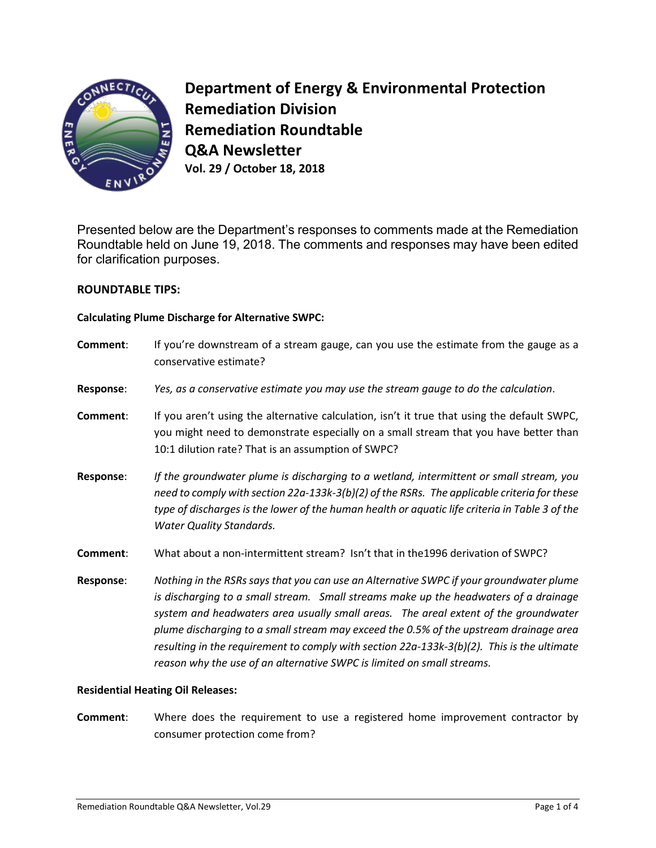

**Department of Energy & Environmental Protection Remediation Division Remediation Roundtable Q&A Newsletter Vol. 29 / October 18, 2018**

Presented below are the Department's responses to comments made at the Remediation Roundtable held on June 19, 2018. The comments and responses may have been edited for clarification purposes.

# **ROUNDTABLE TIPS:**

### **Calculating Plume Discharge for Alternative SWPC:**

| Comment:         | If you're downstream of a stream gauge, can you use the estimate from the gauge as a<br>conservative estimate?                                                                                                                                                                                                                                                                                                                                                |
|------------------|---------------------------------------------------------------------------------------------------------------------------------------------------------------------------------------------------------------------------------------------------------------------------------------------------------------------------------------------------------------------------------------------------------------------------------------------------------------|
| Response:        | Yes, as a conservative estimate you may use the stream gauge to do the calculation.                                                                                                                                                                                                                                                                                                                                                                           |
| Comment:         | If you aren't using the alternative calculation, isn't it true that using the default SWPC,<br>you might need to demonstrate especially on a small stream that you have better than<br>10:1 dilution rate? That is an assumption of SWPC?                                                                                                                                                                                                                     |
| <b>Response:</b> | If the groundwater plume is discharging to a wetland, intermittent or small stream, you<br>need to comply with section 22a-133k-3(b)(2) of the RSRs. The applicable criteria for these<br>type of discharges is the lower of the human health or aquatic life criteria in Table 3 of the<br><b>Water Quality Standards.</b>                                                                                                                                   |
| Comment:         | What about a non-intermittent stream? Isn't that in the 1996 derivation of SWPC?                                                                                                                                                                                                                                                                                                                                                                              |
| Response:        | Nothing in the RSRs says that you can use an Alternative SWPC if your groundwater plume<br>is discharging to a small stream. Small streams make up the headwaters of a drainage<br>system and headwaters area usually small areas. The areal extent of the groundwater<br>plume discharging to a small stream may exceed the 0.5% of the upstream drainage area<br>resulting in the requirement to comply with section 22a-133k-3(b)(2). This is the ultimate |

### **Residential Heating Oil Releases:**

**Comment**: Where does the requirement to use a registered home improvement contractor by consumer protection come from?

*reason why the use of an alternative SWPC is limited on small streams.*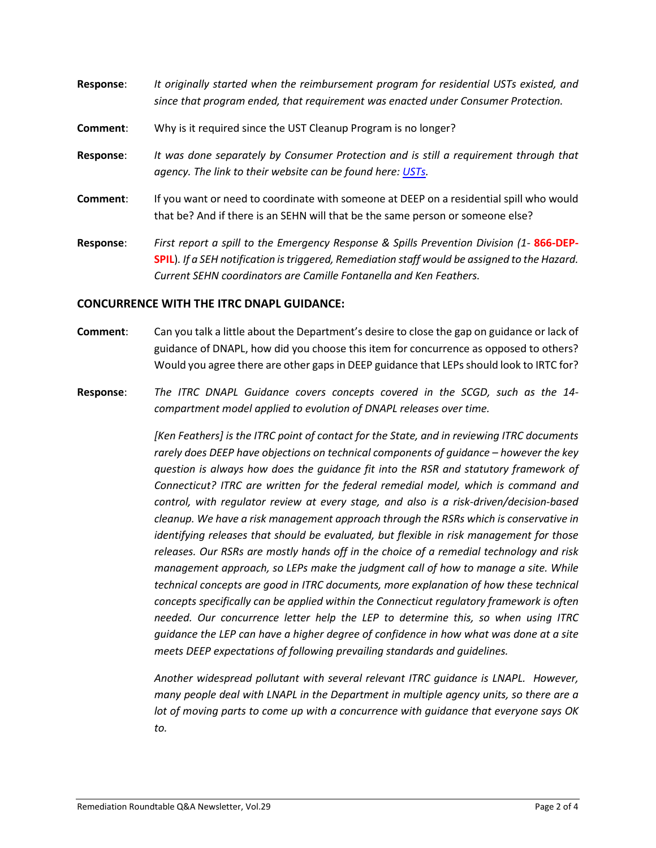- **Response**: *It originally started when the reimbursement program for residential USTs existed, and since that program ended, that requirement was enacted under Consumer Protection.*  **Comment**: Why is it required since the UST Cleanup Program is no longer? **Response**: *It was done separately by Consumer Protection and is still a requirement through that agency. The link to their website can be found here[: USTs.](https://portal.ct.gov/DCP/Trade-Practices-Division/Removal-Requirements-for-Underground-Storage-Tanks)* **Comment**: If you want or need to coordinate with someone at DEEP on a residential spill who would that be? And if there is an SEHN will that be the same person or someone else?
- **Response**: *First report a spill to the Emergency Response & Spills Prevention Division (1-* **866-DEP-SPIL**)*. If a SEH notification is triggered, Remediation staff would be assigned to the Hazard. Current SEHN coordinators are Camille Fontanella and Ken Feathers.*

### **CONCURRENCE WITH THE ITRC DNAPL GUIDANCE:**

- **Comment**: Can you talk a little about the Department's desire to close the gap on guidance or lack of guidance of DNAPL, how did you choose this item for concurrence as opposed to others? Would you agree there are other gaps in DEEP guidance that LEPs should look to IRTC for?
- **Response**: *The ITRC DNAPL Guidance covers concepts covered in the SCGD, such as the 14 compartment model applied to evolution of DNAPL releases over time.*

*[Ken Feathers] is the ITRC point of contact for the State, and in reviewing ITRC documents rarely does DEEP have objections on technical components of guidance – however the key question is always how does the guidance fit into the RSR and statutory framework of Connecticut? ITRC are written for the federal remedial model, which is command and control, with regulator review at every stage, and also is a risk-driven/decision-based cleanup. We have a risk management approach through the RSRs which is conservative in identifying releases that should be evaluated, but flexible in risk management for those releases. Our RSRs are mostly hands off in the choice of a remedial technology and risk management approach, so LEPs make the judgment call of how to manage a site. While technical concepts are good in ITRC documents, more explanation of how these technical concepts specifically can be applied within the Connecticut regulatory framework is often needed. Our concurrence letter help the LEP to determine this, so when using ITRC guidance the LEP can have a higher degree of confidence in how what was done at a site meets DEEP expectations of following prevailing standards and guidelines.* 

*Another widespread pollutant with several relevant ITRC guidance is LNAPL. However, many people deal with LNAPL in the Department in multiple agency units, so there are a lot of moving parts to come up with a concurrence with guidance that everyone says OK to.*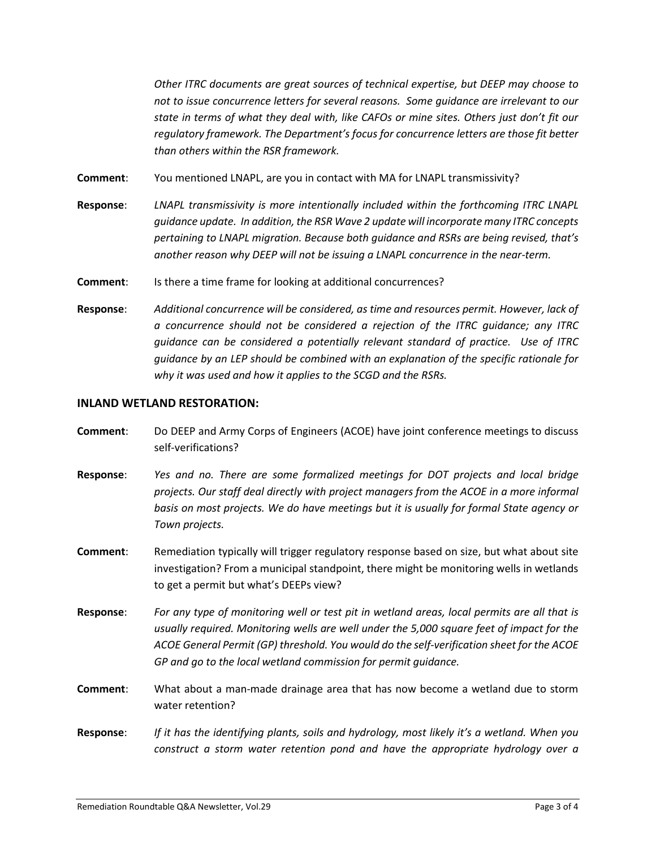*Other ITRC documents are great sources of technical expertise, but DEEP may choose to not to issue concurrence letters for several reasons. Some guidance are irrelevant to our state in terms of what they deal with, like CAFOs or mine sites. Others just don't fit our regulatory framework. The Department's focus for concurrence letters are those fit better than others within the RSR framework.* 

**Comment**: You mentioned LNAPL, are you in contact with MA for LNAPL transmissivity?

- **Response**: *LNAPL transmissivity is more intentionally included within the forthcoming ITRC LNAPL guidance update. In addition, the RSR Wave 2 update will incorporate many ITRC concepts pertaining to LNAPL migration. Because both guidance and RSRs are being revised, that's another reason why DEEP will not be issuing a LNAPL concurrence in the near-term.*
- **Comment:** Is there a time frame for looking at additional concurrences?
- **Response**: *Additional concurrence will be considered, as time and resources permit. However, lack of a concurrence should not be considered a rejection of the ITRC guidance; any ITRC guidance can be considered a potentially relevant standard of practice. Use of ITRC guidance by an LEP should be combined with an explanation of the specific rationale for why it was used and how it applies to the SCGD and the RSRs.*

#### **INLAND WETLAND RESTORATION:**

- **Comment**: Do DEEP and Army Corps of Engineers (ACOE) have joint conference meetings to discuss self-verifications?
- **Response**: *Yes and no. There are some formalized meetings for DOT projects and local bridge projects. Our staff deal directly with project managers from the ACOE in a more informal basis on most projects. We do have meetings but it is usually for formal State agency or Town projects.*
- **Comment**: Remediation typically will trigger regulatory response based on size, but what about site investigation? From a municipal standpoint, there might be monitoring wells in wetlands to get a permit but what's DEEPs view?
- **Response**: *For any type of monitoring well or test pit in wetland areas, local permits are all that is usually required. Monitoring wells are well under the 5,000 square feet of impact for the ACOE General Permit (GP) threshold. You would do the self-verification sheet for the ACOE GP and go to the local wetland commission for permit guidance.*
- **Comment**: What about a man-made drainage area that has now become a wetland due to storm water retention?
- **Response**: *If it has the identifying plants, soils and hydrology, most likely it's a wetland. When you construct a storm water retention pond and have the appropriate hydrology over a*